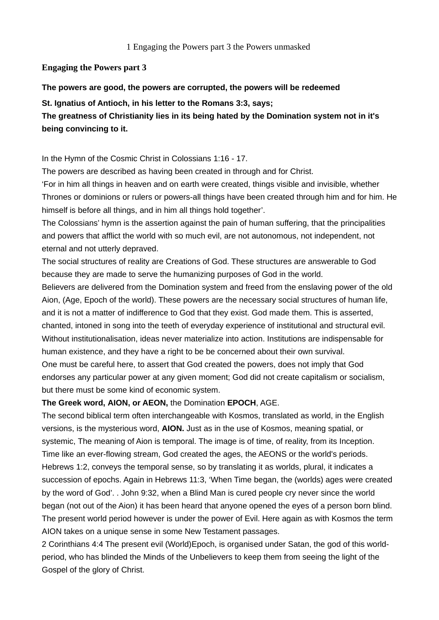# **Engaging the Powers part 3**

## **The powers are good, the powers are corrupted, the powers will be redeemed**

**St. Ignatius of Antioch, in his letter to the Romans 3:3, says;**

# **The greatness of Christianity lies in its being hated by the Domination system not in it's being convincing to it.**

In the Hymn of the Cosmic Christ in Colossians 1:16 - 17.

The powers are described as having been created in through and for Christ.

'For in him all things in heaven and on earth were created, things visible and invisible, whether Thrones or dominions or rulers or powers-all things have been created through him and for him. He himself is before all things, and in him all things hold together'.

The Colossians' hymn is the assertion against the pain of human suffering, that the principalities and powers that afflict the world with so much evil, are not autonomous, not independent, not eternal and not utterly depraved.

The social structures of reality are Creations of God. These structures are answerable to God because they are made to serve the humanizing purposes of God in the world.

Believers are delivered from the Domination system and freed from the enslaving power of the old Aion, (Age, Epoch of the world). These powers are the necessary social structures of human life, and it is not a matter of indifference to God that they exist. God made them. This is asserted, chanted, intoned in song into the teeth of everyday experience of institutional and structural evil. Without institutionalisation, ideas never materialize into action. Institutions are indispensable for human existence, and they have a right to be be concerned about their own survival. One must be careful here, to assert that God created the powers, does not imply that God endorses any particular power at any given moment; God did not create capitalism or socialism, but there must be some kind of economic system.

# **The Greek word, AION, or AEON,** the Domination **EPOCH**, AGE.

The second biblical term often interchangeable with Kosmos, translated as world, in the English versions, is the mysterious word, **AION.** Just as in the use of Kosmos, meaning spatial, or systemic, The meaning of Aion is temporal. The image is of time, of reality, from its Inception. Time like an ever-flowing stream, God created the ages, the AEONS or the world's periods. Hebrews 1:2, conveys the temporal sense, so by translating it as worlds, plural, it indicates a succession of epochs. Again in Hebrews 11:3, 'When Time began, the (worlds) ages were created by the word of God'. . John 9:32, when a Blind Man is cured people cry never since the world began (not out of the Aion) it has been heard that anyone opened the eyes of a person born blind. The present world period however is under the power of Evil. Here again as with Kosmos the term AION takes on a unique sense in some New Testament passages.

2 Corinthians 4:4 The present evil (World)Epoch, is organised under Satan, the god of this worldperiod, who has blinded the Minds of the Unbelievers to keep them from seeing the light of the Gospel of the glory of Christ.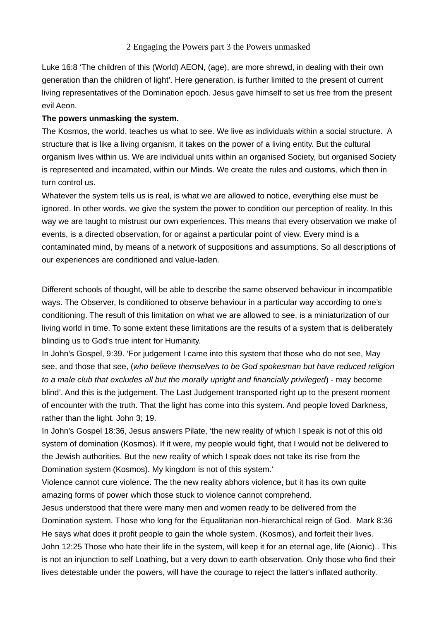Luke 16:8 'The children of this (World) AEON, (age), are more shrewd, in dealing with their own generation than the children of light'. Here generation, is further limited to the present of current living representatives of the Domination epoch. Jesus gave himself to set us free from the present evil Aeon.

### **The powers unmasking the system.**

The Kosmos, the world, teaches us what to see. We live as individuals within a social structure. A structure that is like a living organism, it takes on the power of a living entity. But the cultural organism lives within us. We are individual units within an organised Society, but organised Society is represented and incarnated, within our Minds. We create the rules and customs, which then in turn control us.

Whatever the system tells us is real, is what we are allowed to notice, everything else must be ignored. In other words, we give the system the power to condition our perception of reality. In this way we are taught to mistrust our own experiences. This means that every observation we make of events, is a directed observation, for or against a particular point of view. Every mind is a contaminated mind, by means of a network of suppositions and assumptions. So all descriptions of our experiences are conditioned and value-laden.

Different schools of thought, will be able to describe the same observed behaviour in incompatible ways. The Observer, Is conditioned to observe behaviour in a particular way according to one's conditioning. The result of this limitation on what we are allowed to see, is a miniaturization of our living world in time. To some extent these limitations are the results of a system that is deliberately blinding us to God's true intent for Humanity.

In John's Gospel, 9:39. 'For judgement I came into this system that those who do not see, May see, and those that see, (*who believe themselves to be God spokesman but have reduced religion to a male club that excludes all but the morally upright and financially privileged*) - may become blind'. And this is the judgement. The Last Judgement transported right up to the present moment of encounter with the truth. That the light has come into this system. And people loved Darkness, rather than the light. John 3; 19.

In John's Gospel 18:36, Jesus answers Pilate, 'the new reality of which I speak is not of this old system of domination (Kosmos). If it were, my people would fight, that I would not be delivered to the Jewish authorities. But the new reality of which I speak does not take its rise from the Domination system (Kosmos). My kingdom is not of this system.'

Violence cannot cure violence. The the new reality abhors violence, but it has its own quite amazing forms of power which those stuck to violence cannot comprehend.

Jesus understood that there were many men and women ready to be delivered from the Domination system. Those who long for the Equalitarian non-hierarchical reign of God. Mark 8:36 He says what does it profit people to gain the whole system, (Kosmos), and forfeit their lives. John 12:25 Those who hate their life in the system, will keep it for an eternal age, life (Aionic).. This is not an injunction to self Loathing, but a very down to earth observation. Only those who find their lives detestable under the powers, will have the courage to reject the latter's inflated authority.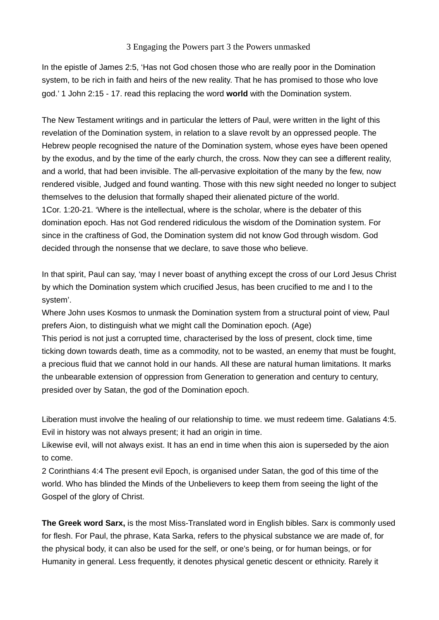In the epistle of James 2:5, 'Has not God chosen those who are really poor in the Domination system, to be rich in faith and heirs of the new reality. That he has promised to those who love god.' 1 John 2:15 - 17. read this replacing the word **world** with the Domination system.

The New Testament writings and in particular the letters of Paul, were written in the light of this revelation of the Domination system, in relation to a slave revolt by an oppressed people. The Hebrew people recognised the nature of the Domination system, whose eyes have been opened by the exodus, and by the time of the early church, the cross. Now they can see a different reality, and a world, that had been invisible. The all-pervasive exploitation of the many by the few, now rendered visible, Judged and found wanting. Those with this new sight needed no longer to subject themselves to the delusion that formally shaped their alienated picture of the world. 1Cor. 1:20-21. 'Where is the intellectual, where is the scholar, where is the debater of this domination epoch. Has not God rendered ridiculous the wisdom of the Domination system. For since in the craftiness of God, the Domination system did not know God through wisdom. God decided through the nonsense that we declare, to save those who believe.

In that spirit, Paul can say, 'may I never boast of anything except the cross of our Lord Jesus Christ by which the Domination system which crucified Jesus, has been crucified to me and I to the system'.

Where John uses Kosmos to unmask the Domination system from a structural point of view, Paul prefers Aion, to distinguish what we might call the Domination epoch. (Age) This period is not just a corrupted time, characterised by the loss of present, clock time, time ticking down towards death, time as a commodity, not to be wasted, an enemy that must be fought, a precious fluid that we cannot hold in our hands. All these are natural human limitations. It marks the unbearable extension of oppression from Generation to generation and century to century, presided over by Satan, the god of the Domination epoch.

Liberation must involve the healing of our relationship to time. we must redeem time. Galatians 4:5. Evil in history was not always present; it had an origin in time.

Likewise evil, will not always exist. It has an end in time when this aion is superseded by the aion to come.

2 Corinthians 4:4 The present evil Epoch, is organised under Satan, the god of this time of the world. Who has blinded the Minds of the Unbelievers to keep them from seeing the light of the Gospel of the glory of Christ.

**The Greek word Sarx,** is the most Miss-Translated word in English bibles. Sarx is commonly used for flesh. For Paul, the phrase, Kata Sarka, refers to the physical substance we are made of, for the physical body, it can also be used for the self, or one's being, or for human beings, or for Humanity in general. Less frequently, it denotes physical genetic descent or ethnicity. Rarely it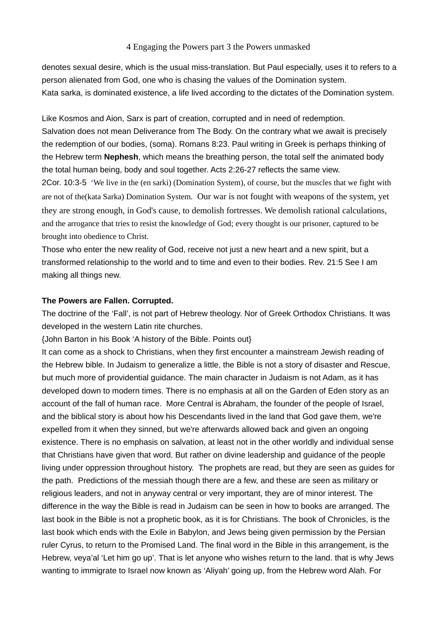denotes sexual desire, which is the usual miss-translation. But Paul especially, uses it to refers to a person alienated from God, one who is chasing the values of the Domination system. Kata sarka, is dominated existence, a life lived according to the dictates of the Domination system.

Like Kosmos and Aion, Sarx is part of creation, corrupted and in need of redemption. Salvation does not mean Deliverance from The Body. On the contrary what we await is precisely the redemption of our bodies, (soma). Romans 8:23. Paul writing in Greek is perhaps thinking of the Hebrew term **Nephesh**, which means the breathing person, the total self the animated body the total human being, body and soul together. Acts 2:26-27 reflects the same view. 2Cor. 10:3-5 'We live in the (en sarki) (Domination System), of course, but the muscles that we fight with are not of the(kata Sarka) Domination System. Our war is not fought with weapons of the system, yet they are strong enough, in God's cause, to demolish fortresses. We demolish rational calculations, and the arrogance that tries to resist the knowledge of God; every thought is our prisoner, captured to be brought into obedience to Christ.

Those who enter the new reality of God, receive not just a new heart and a new spirit, but a transformed relationship to the world and to time and even to their bodies. Rev. 21:5 See I am making all things new.

#### **The Powers are Fallen. Corrupted.**

The doctrine of the 'Fall', is not part of Hebrew theology. Nor of Greek Orthodox Christians. It was developed in the western Latin rite churches.

{John Barton in his Book 'A history of the Bible. Points out}

It can come as a shock to Christians, when they first encounter a mainstream Jewish reading of the Hebrew bible. In Judaism to generalize a little, the Bible is not a story of disaster and Rescue, but much more of providential guidance. The main character in Judaism is not Adam, as it has developed down to modern times. There is no emphasis at all on the Garden of Eden story as an account of the fall of human race. More Central is Abraham, the founder of the people of Israel, and the biblical story is about how his Descendants lived in the land that God gave them, we're expelled from it when they sinned, but we're afterwards allowed back and given an ongoing existence. There is no emphasis on salvation, at least not in the other worldly and individual sense that Christians have given that word. But rather on divine leadership and guidance of the people living under oppression throughout history. The prophets are read, but they are seen as guides for the path. Predictions of the messiah though there are a few, and these are seen as military or religious leaders, and not in anyway central or very important, they are of minor interest. The difference in the way the Bible is read in Judaism can be seen in how to books are arranged. The last book in the Bible is not a prophetic book, as it is for Christians. The book of Chronicles, is the last book which ends with the Exile in Babylon, and Jews being given permission by the Persian ruler Cyrus, to return to the Promised Land. The final word in the Bible in this arrangement, is the Hebrew, veya'al 'Let him go up'. That is let anyone who wishes return to the land. that is why Jews wanting to immigrate to Israel now known as 'Aliyah' going up, from the Hebrew word Alah. For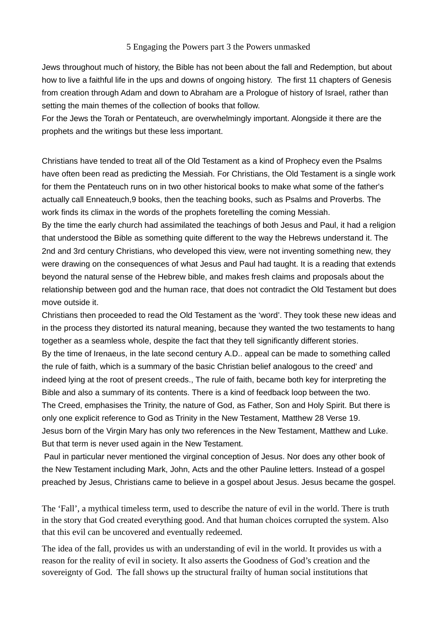Jews throughout much of history, the Bible has not been about the fall and Redemption, but about how to live a faithful life in the ups and downs of ongoing history. The first 11 chapters of Genesis from creation through Adam and down to Abraham are a Prologue of history of Israel, rather than setting the main themes of the collection of books that follow.

For the Jews the Torah or Pentateuch, are overwhelmingly important. Alongside it there are the prophets and the writings but these less important.

Christians have tended to treat all of the Old Testament as a kind of Prophecy even the Psalms have often been read as predicting the Messiah. For Christians, the Old Testament is a single work for them the Pentateuch runs on in two other historical books to make what some of the father's actually call Enneateuch,9 books, then the teaching books, such as Psalms and Proverbs. The work finds its climax in the words of the prophets foretelling the coming Messiah.

By the time the early church had assimilated the teachings of both Jesus and Paul, it had a religion that understood the Bible as something quite different to the way the Hebrews understand it. The 2nd and 3rd century Christians, who developed this view, were not inventing something new, they were drawing on the consequences of what Jesus and Paul had taught. It is a reading that extends beyond the natural sense of the Hebrew bible, and makes fresh claims and proposals about the relationship between god and the human race, that does not contradict the Old Testament but does move outside it.

Christians then proceeded to read the Old Testament as the 'word'. They took these new ideas and in the process they distorted its natural meaning, because they wanted the two testaments to hang together as a seamless whole, despite the fact that they tell significantly different stories. By the time of Irenaeus, in the late second century A.D.. appeal can be made to something called the rule of faith, which is a summary of the basic Christian belief analogous to the creed' and indeed lying at the root of present creeds., The rule of faith, became both key for interpreting the Bible and also a summary of its contents. There is a kind of feedback loop between the two. The Creed, emphasises the Trinity, the nature of God, as Father, Son and Holy Spirit. But there is only one explicit reference to God as Trinity in the New Testament, Matthew 28 Verse 19. Jesus born of the Virgin Mary has only two references in the New Testament, Matthew and Luke. But that term is never used again in the New Testament.

 Paul in particular never mentioned the virginal conception of Jesus. Nor does any other book of the New Testament including Mark, John, Acts and the other Pauline letters. Instead of a gospel preached by Jesus, Christians came to believe in a gospel about Jesus. Jesus became the gospel.

The 'Fall', a mythical timeless term, used to describe the nature of evil in the world. There is truth in the story that God created everything good. And that human choices corrupted the system. Also that this evil can be uncovered and eventually redeemed.

The idea of the fall, provides us with an understanding of evil in the world. It provides us with a reason for the reality of evil in society. It also asserts the Goodness of God's creation and the sovereignty of God. The fall shows up the structural frailty of human social institutions that